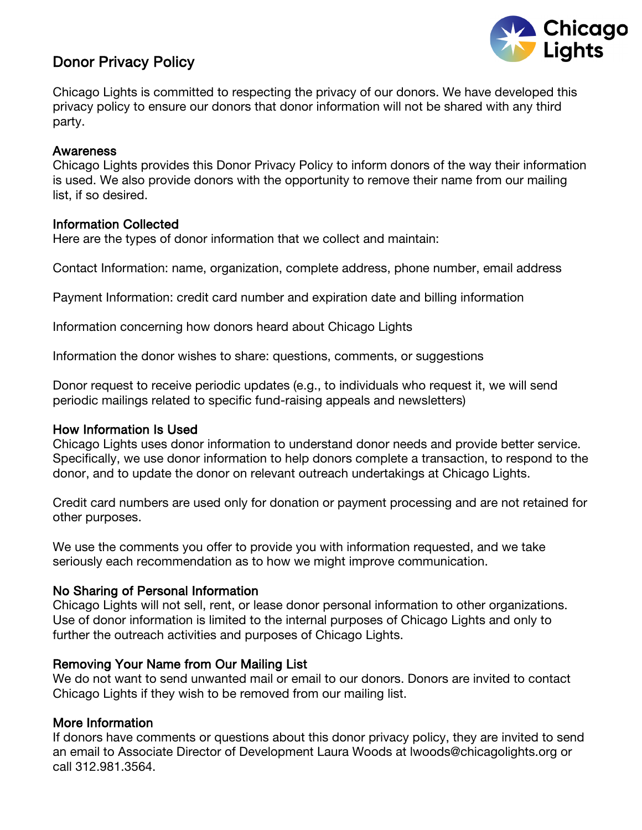

# Donor Privacy Policy

Chicago Lights is committed to respecting the privacy of our donors. We have developed this privacy policy to ensure our donors that donor information will not be shared with any third party.

### **Awareness**

Chicago Lights provides this Donor Privacy Policy to inform donors of the way their information is used. We also provide donors with the opportunity to remove their name from our mailing list, if so desired.

## Information Collected

Here are the types of donor information that we collect and maintain:

Contact Information: name, organization, complete address, phone number, email address

Payment Information: credit card number and expiration date and billing information

Information concerning how donors heard about Chicago Lights

Information the donor wishes to share: questions, comments, or suggestions

Donor request to receive periodic updates (e.g., to individuals who request it, we will send periodic mailings related to specific fund-raising appeals and newsletters)

## How Information Is Used

Chicago Lights uses donor information to understand donor needs and provide better service. Specifically, we use donor information to help donors complete a transaction, to respond to the donor, and to update the donor on relevant outreach undertakings at Chicago Lights.

Credit card numbers are used only for donation or payment processing and are not retained for other purposes.

We use the comments you offer to provide you with information requested, and we take seriously each recommendation as to how we might improve communication.

## No Sharing of Personal Information

Chicago Lights will not sell, rent, or lease donor personal information to other organizations. Use of donor information is limited to the internal purposes of Chicago Lights and only to further the outreach activities and purposes of Chicago Lights.

## Removing Your Name from Our Mailing List

We do not want to send unwanted mail or email to our donors. Donors are invited to contact Chicago Lights if they wish to be removed from our mailing list.

## More Information

If donors have comments or questions about this donor privacy policy, they are invited to send an email to Associate Director of Development Laura Woods at lwoods@chicagolights.org or call 312.981.3564.